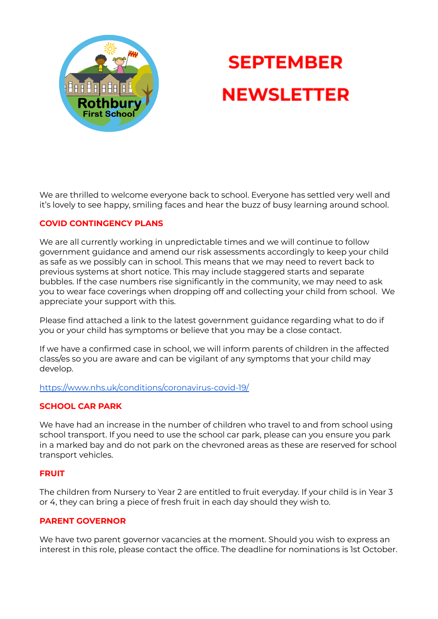

# **SEPTEMBER NEWSLETTER**

We are thrilled to welcome everyone back to school. Everyone has settled very well and it's lovely to see happy, smiling faces and hear the buzz of busy learning around school.

# **COVID CONTINGENCY PLANS**

We are all currently working in unpredictable times and we will continue to follow government guidance and amend our risk assessments accordingly to keep your child as safe as we possibly can in school. This means that we may need to revert back to previous systems at short notice. This may include staggered starts and separate bubbles. If the case numbers rise significantly in the community, we may need to ask you to wear face coverings when dropping off and collecting your child from school. We appreciate your support with this.

Please find attached a link to the latest government guidance regarding what to do if you or your child has symptoms or believe that you may be a close contact.

If we have a confirmed case in school, we will inform parents of children in the affected class/es so you are aware and can be vigilant of any symptoms that your child may develop.

<https://www.nhs.uk/conditions/coronavirus-covid-19/>

# **SCHOOL CAR PARK**

We have had an increase in the number of children who travel to and from school using school transport. If you need to use the school car park, please can you ensure you park in a marked bay and do not park on the chevroned areas as these are reserved for school transport vehicles.

#### **FRUIT**

The children from Nursery to Year 2 are entitled to fruit everyday. If your child is in Year 3 or 4, they can bring a piece of fresh fruit in each day should they wish to.

#### **PARENT GOVERNOR**

We have two parent governor vacancies at the moment. Should you wish to express an interest in this role, please contact the office. The deadline for nominations is 1st October.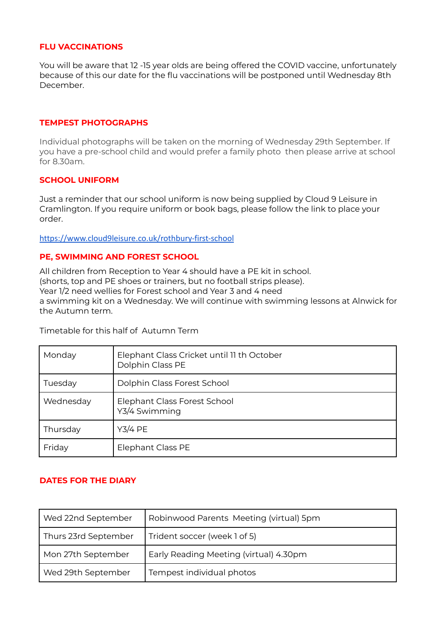### **FLU VACCINATIONS**

You will be aware that 12 -15 year olds are being offered the COVID vaccine, unfortunately because of this our date for the flu vaccinations will be postponed until Wednesday 8th December.

## **TEMPEST PHOTOGRAPHS**

Individual photographs will be taken on the morning of Wednesday 29th September. If you have a pre-school child and would prefer a family photo then please arrive at school for 8.30am.

#### **SCHOOL UNIFORM**

Just a reminder that our school uniform is now being supplied by Cloud 9 Leisure in Cramlington. If you require uniform or book bags, please follow the link to place your order.

<https://www.cloud9leisure.co.uk/rothbury-first-school>

#### **PE, SWIMMING AND FOREST SCHOOL**

All children from Reception to Year 4 should have a PE kit in school. (shorts, top and PE shoes or trainers, but no football strips please). Year 1/2 need wellies for Forest school and Year 3 and 4 need a swimming kit on a Wednesday. We will continue with swimming lessons at Alnwick for the Autumn term.

Timetable for this half of Autumn Term

| Monday    | Elephant Class Cricket until 11 th October<br>Dolphin Class PE |
|-----------|----------------------------------------------------------------|
| Tuesday   | Dolphin Class Forest School                                    |
| Wednesday | Elephant Class Forest School<br>Y3/4 Swimming                  |
| Thursday  | <b>Y3/4 PE</b>                                                 |
| Friday    | <b>Elephant Class PE</b>                                       |

# **DATES FOR THE DIARY**

| Wed 22nd September   | Robinwood Parents Meeting (virtual) 5pm |
|----------------------|-----------------------------------------|
| Thurs 23rd September | Trident soccer (week 1 of 5)            |
| Mon 27th September   | Early Reading Meeting (virtual) 4.30pm  |
| Wed 29th September   | Tempest individual photos               |